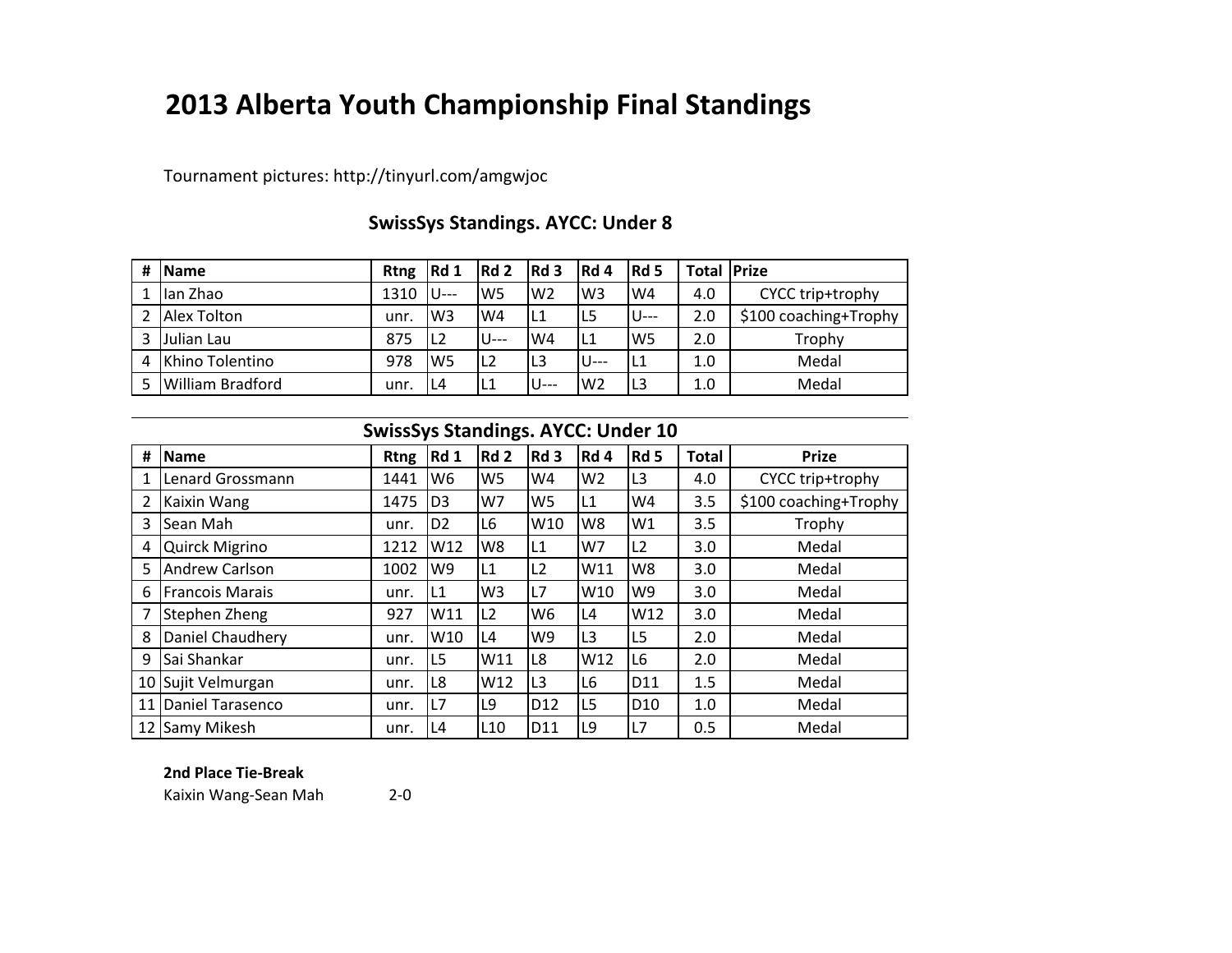# **2013 Alberta Youth Championship Final Standings**

Tournament pictures: http://tinyurl.com/amgwjoc

| # | <b>IName</b>            | <b>Rtng</b> | Rd1   | Rd <sub>2</sub> | Rd 3           | IRd 4 | $Re$         | <b>Total Prize</b> |                       |
|---|-------------------------|-------------|-------|-----------------|----------------|-------|--------------|--------------------|-----------------------|
|   | lan Zhao                | 1310        | IU--- | W <sub>5</sub>  | W <sub>2</sub> | lw3   | W4           | 4.0                | CYCC trip+trophy      |
|   | Alex Tolton             | unr.        | lW3   | IWA             | L1             | L5    | <b>IU---</b> | 2.0                | \$100 coaching+Trophy |
| 3 | Julian Lau              | 875         | IL2   | <b>IU---</b>    | W4             | IL1   | lW5          | 2.0                | Trophy                |
| 4 | Khino Tolentino         | 978         | lW5   | IL <sub>2</sub> | L <sub>3</sub> | U---  | IL1          | $1.0\,$            | Medal                 |
|   | <b>William Bradford</b> | unr.        | L4    | IL1             | U---           | lw2   | IL3          | 1.0                | Medal                 |

# **SwissSys Standings. AYCC: Under 8**

|    | <b>SwissSys Standings. AYCC: Under 10</b> |             |                |                 |                 |                 |                 |              |                       |  |  |
|----|-------------------------------------------|-------------|----------------|-----------------|-----------------|-----------------|-----------------|--------------|-----------------------|--|--|
| #  | Name                                      | <b>Rtng</b> | Rd 1           | Rd <sub>2</sub> | Rd <sub>3</sub> | Rd 4            | Rd 5            | <b>Total</b> | <b>Prize</b>          |  |  |
|    | <b>Lenard Grossmann</b>                   | 1441        | W <sub>6</sub> | W <sub>5</sub>  | W4              | W <sub>2</sub>  | IL3             | 4.0          | CYCC trip+trophy      |  |  |
|    | Kaixin Wang                               | 1475        | D <sub>3</sub> | W7              | W <sub>5</sub>  | L1              | W <sub>4</sub>  | 3.5          | \$100 coaching+Trophy |  |  |
| 3  | <b>Sean Mah</b>                           | unr.        | D <sub>2</sub> | L <sub>6</sub>  | W10             | W8              | W1              | 3.5          | Trophy                |  |  |
| 4  | <b>Quirck Migrino</b>                     | 1212        | W12            | W8              | L1              | W7              | L2              | 3.0          | Medal                 |  |  |
| 5  | <b>Andrew Carlson</b>                     | 1002        | W9             | L1              | L2              | W11             | W8              | 3.0          | Medal                 |  |  |
| 6  | Francois Marais                           | unr.        | L1             | W <sub>3</sub>  | L7              | W <sub>10</sub> | W <sub>9</sub>  | 3.0          | Medal                 |  |  |
|    | Stephen Zheng                             | 927         | W11            | L <sub>2</sub>  | W <sub>6</sub>  | L4              | W12             | 3.0          | Medal                 |  |  |
| 8  | Daniel Chaudhery                          | unr.        | W10            | L4              | W9              | L3              | L <sub>5</sub>  | 2.0          | Medal                 |  |  |
| 9  | Sai Shankar                               | unr.        | L5             | W11             | L8              | W12             | L <sub>6</sub>  | 2.0          | Medal                 |  |  |
|    | 10 Sujit Velmurgan                        | unr.        | L8             | W12             | L3              | L6              | D11             | 1.5          | Medal                 |  |  |
| 11 | Daniel Tarasenco                          | unr.        | L7             | L9              | D12             | L5              | D <sub>10</sub> | 1.0          | Medal                 |  |  |
|    | 12 Samy Mikesh                            | unr.        | L4             | L <sub>10</sub> | D11             | L9              | L7              | 0.5          | Medal                 |  |  |

#### **2nd Place Tie-Break**

Kaixin Wang-Sean Mah 2-0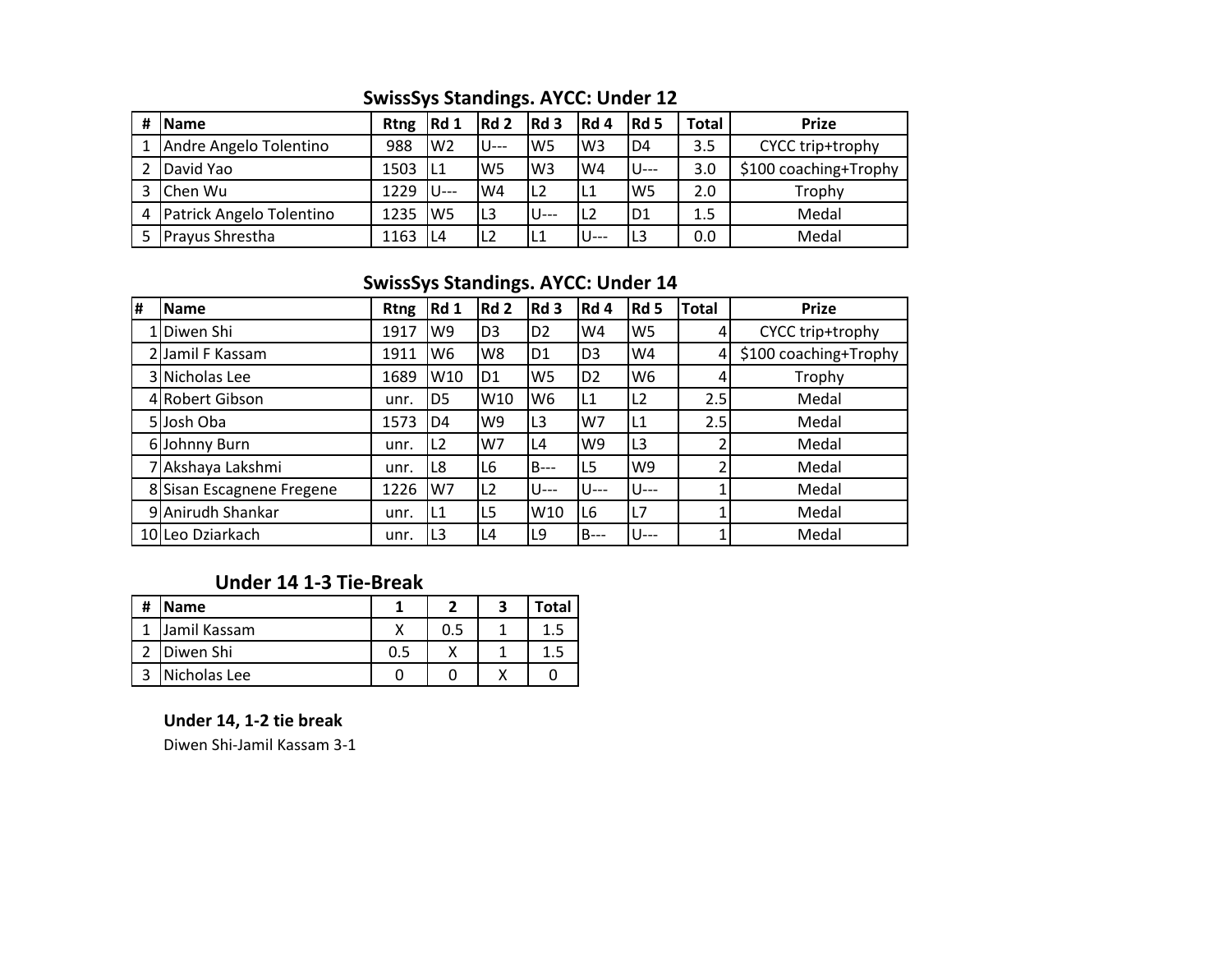## **SwissSys Standings. AYCC: Under 12**

| # | <b>IName</b>             | <b>Rtng</b> | Rd 1           | Rd 2           | Rd <sub>3</sub> | Rd 4           | $Re$           | Total | <b>Prize</b>          |  |
|---|--------------------------|-------------|----------------|----------------|-----------------|----------------|----------------|-------|-----------------------|--|
|   | Andre Angelo Tolentino   | 988         | W <sub>2</sub> | 'U---          | lW5             | W <sub>3</sub> | D <sub>4</sub> | 3.5   | CYCC trip+trophy      |  |
|   | David Yao                | 1503        | IL1            | W <sub>5</sub> | W <sub>3</sub>  | W4             | IU---          | 3.0   | \$100 coaching+Trophy |  |
|   | Chen Wu                  | 1229        | lU---          | W4             | L <sub>2</sub>  | L1             | W <sub>5</sub> | 2.0   | Trophy                |  |
| 4 | Patrick Angelo Tolentino | 1235        | W <sub>5</sub> | L <sub>3</sub> | U---            | L2             | ID1            | 1.5   | Medal                 |  |
|   | <b>Prayus Shrestha</b>   | 1163        | L4             | L <sub>2</sub> | L1              | $U^{--}$       | IL3            | 0.0   | Medal                 |  |

### **SwissSys Standings. AYCC: Under 14**

| # | <b>Name</b>               | <b>Rtng</b> | <b>Rd 1</b>     | Rd <sub>2</sub> | Rd 3           | Rd 4           | Rd 5           | <b>Total</b> | <b>Prize</b>          |
|---|---------------------------|-------------|-----------------|-----------------|----------------|----------------|----------------|--------------|-----------------------|
|   | 1 Diwen Shi               | 1917        | W9              | D <sub>3</sub>  | D <sub>2</sub> | W4             | W <sub>5</sub> |              | CYCC trip+trophy      |
|   | 2 Jamil F Kassam          | 1911        | W6              | W8              | D <sub>1</sub> | D <sub>3</sub> | W4             | 4            | \$100 coaching+Trophy |
|   | 3 Nicholas Lee            | 1689        | W <sub>10</sub> | D <sub>1</sub>  | W <sub>5</sub> | D <sub>2</sub> | W <sub>6</sub> |              | Trophy                |
|   | 4 Robert Gibson           | unr.        | D <sub>5</sub>  | W10             | W <sub>6</sub> | L1             | L2             | 2.5          | Medal                 |
|   | 5Josh Oba                 | 1573        | D4              | W9              | L <sub>3</sub> | W7             | L1             | 2.5          | Medal                 |
|   | 6 Johnny Burn             | unr.        | L2              | W7              | L4             | W <sub>9</sub> | L <sub>3</sub> |              | Medal                 |
|   | Akshaya Lakshmi           | unr.        | L8              | L6              | $B---$         | L5             | W9             |              | Medal                 |
|   | 8 Sisan Escagnene Fregene | 1226        | W7              | L2              | $U$ ---        | $U--$          | U---           |              | Medal                 |
|   | 9 Anirudh Shankar         | unr.        | L1              | L5              | W10            | L <sub>6</sub> | L7             |              | Medal                 |
|   | 10 Leo Dziarkach          | unr.        | L3              | L4              | L9             | <b>B</b> ---   | U---           |              | Medal                 |

# **Under 14 1-3 Tie-Break**

| # | <b>Name</b>  |     | Total |
|---|--------------|-----|-------|
|   | Jamil Kassam | 0.5 |       |
|   | Diwen Shi    |     | 1.5   |
|   | Nicholas Lee |     |       |

#### **Under 14, 1-2 tie break**

Diwen Shi-Jamil Kassam 3-1